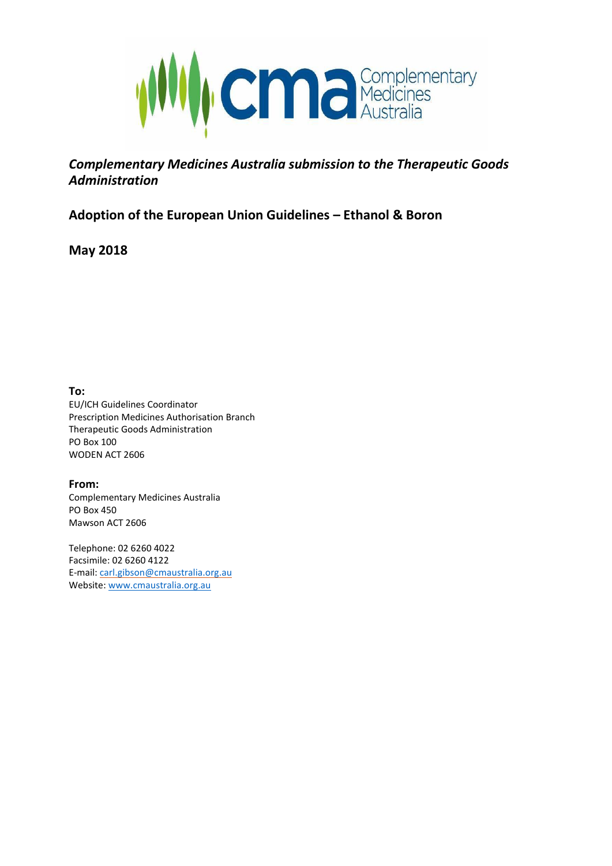

## *Complementary Medicines Australia submission to the Therapeutic Goods Administration*

## **Adoption of the European Union Guidelines – Ethanol & Boron**

**May 2018**

**To:**

EU/ICH Guidelines Coordinator Prescription Medicines Authorisation Branch Therapeutic Goods Administration PO Box 100 WODEN ACT 2606

**From:** Complementary Medicines Australia PO Box 450 Mawson ACT 2606

Telephone: 02 6260 4022 Facsimile: 02 6260 4122 E-mail: [carl.gibson@cmaustralia.org.au](mailto:carl.gibson@cmaustralia.org.au) Website[: www.cmaustralia.org.au](http://www.cmaustralia.org.au/)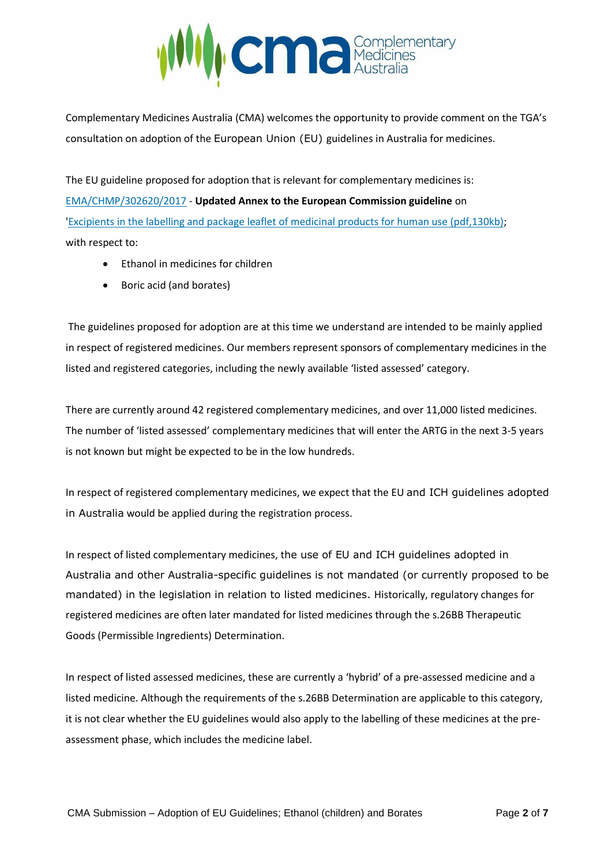

Complementary Medicines Australia (CMA) welcomes the opportunity to provide comment on the TGA's consultation on adoption of the European Union (EU) guidelines in Australia for medicines.

The EU guideline proposed for adoption that is relevant for complementary medicines is: [EMA/CHMP/302620/2017](http://www.ema.europa.eu/ema/index.jsp?curl=pages/regulation/general/general_content_001646.jsp&mid=WC0b01ac05808c01f6) - **Updated Annex to the European Commission guideline** on ['Excipients in the labelling and package leaflet of medicinal products for human use \(pdf,130kb\);](http://www.ema.europa.eu/docs/en_GB/document_library/Scientific_guideline/2009/09/WC500003412.pdf) with respect to:

- Ethanol in medicines for children
- Boric acid (and borates)

The guidelines proposed for adoption are at this time we understand are intended to be mainly applied in respect of registered medicines. Our members represent sponsors of complementary medicines in the listed and registered categories, including the newly available 'listed assessed' category.

There are currently around 42 registered complementary medicines, and over 11,000 listed medicines. The number of 'listed assessed' complementary medicines that will enter the ARTG in the next 3-5 years is not known but might be expected to be in the low hundreds.

In respect of registered complementary medicines, we expect that the EU and ICH guidelines adopted in Australia would be applied during the registration process.

In respect of listed complementary medicines, the use of EU and ICH guidelines adopted in Australia and other Australia-specific guidelines is not mandated (or currently proposed to be mandated) in the legislation in relation to listed medicines. Historically, regulatory changes for registered medicines are often later mandated for listed medicines through the s.26BB Therapeutic Goods (Permissible Ingredients) Determination.

In respect of listed assessed medicines, these are currently a 'hybrid' of a pre-assessed medicine and a listed medicine. Although the requirements of the s.26BB Determination are applicable to this category, it is not clear whether the EU guidelines would also apply to the labelling of these medicines at the preassessment phase, which includes the medicine label.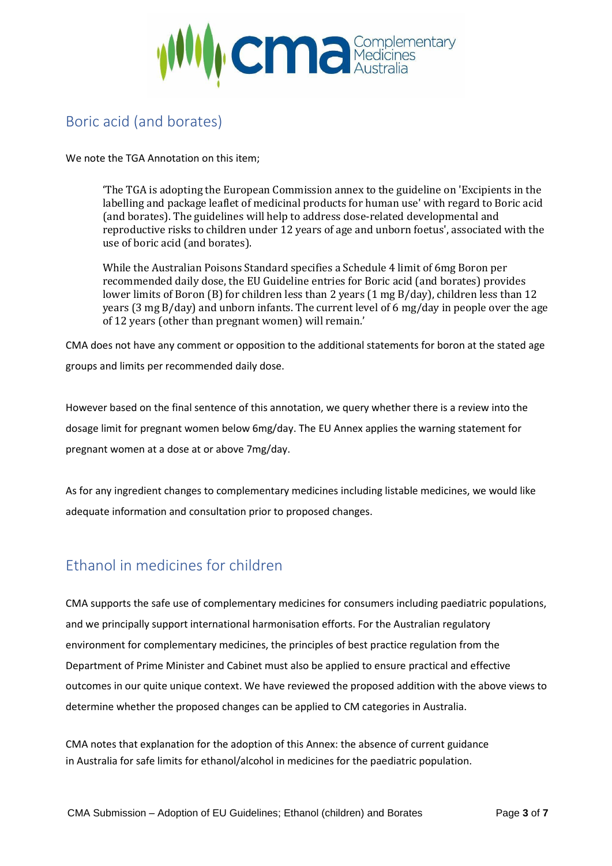

# Boric acid (and borates)

We note the TGA Annotation on this item;

'The TGA is adopting the European Commission annex to the guideline on 'Excipients in the labelling and package leaflet of medicinal products for human use' with regard to Boric acid (and borates). The guidelines will help to address dose-related developmental and reproductive risks to children under 12 years of age and unborn foetus', associated with the use of boric acid (and borates).

While the Australian Poisons Standard specifies a Schedule 4 limit of 6mg Boron per recommended daily dose, the EU Guideline entries for Boric acid (and borates) provides lower limits of Boron (B) for children less than 2 years (1 mg B/day), children less than 12 years (3 mg B/day) and unborn infants. The current level of 6 mg/day in people over the age of 12 years (other than pregnant women) will remain.'

CMA does not have any comment or opposition to the additional statements for boron at the stated age groups and limits per recommended daily dose.

However based on the final sentence of this annotation, we query whether there is a review into the dosage limit for pregnant women below 6mg/day. The EU Annex applies the warning statement for pregnant women at a dose at or above 7mg/day.

As for any ingredient changes to complementary medicines including listable medicines, we would like adequate information and consultation prior to proposed changes.

## Ethanol in medicines for children

CMA supports the safe use of complementary medicines for consumers including paediatric populations, and we principally support international harmonisation efforts. For the Australian regulatory environment for complementary medicines, the principles of best practice regulation from the Department of Prime Minister and Cabinet must also be applied to ensure practical and effective outcomes in our quite unique context. We have reviewed the proposed addition with the above views to determine whether the proposed changes can be applied to CM categories in Australia.

CMA notes that explanation for the adoption of this Annex: the absence of current guidance in Australia for safe limits for ethanol/alcohol in medicines for the paediatric population.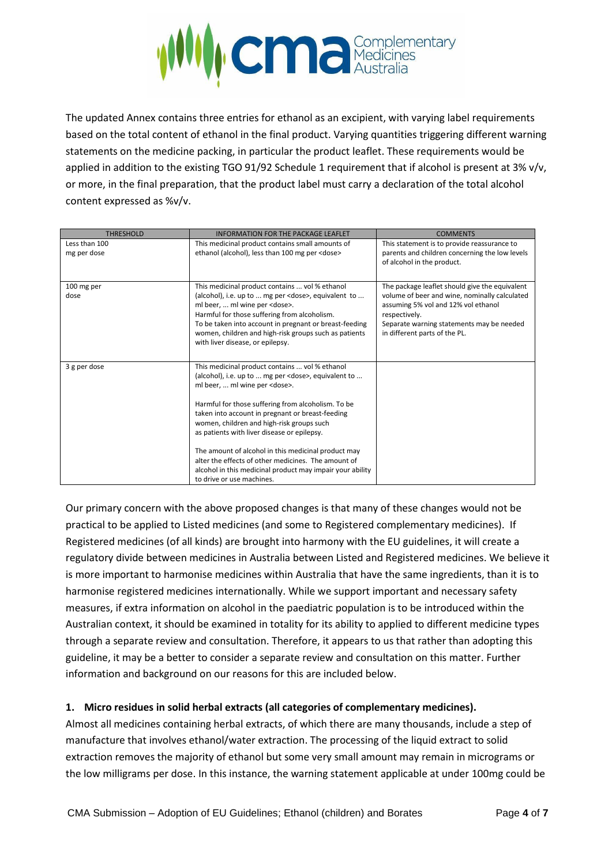

The updated Annex contains three entries for ethanol as an excipient, with varying label requirements based on the total content of ethanol in the final product. Varying quantities triggering different warning statements on the medicine packing, in particular the product leaflet. These requirements would be applied in addition to the existing TGO 91/92 Schedule 1 requirement that if alcohol is present at 3% v/v, or more, in the final preparation, that the product label must carry a declaration of the total alcohol content expressed as %v/v.

| <b>THRESHOLD</b>             | <b>INFORMATION FOR THE PACKAGE LEAFLET</b>                                                                                                                                                                                                                                                                                                                                                                                                                                                                                                                                   | <b>COMMENTS</b>                                                                                                                                                                                                                       |
|------------------------------|------------------------------------------------------------------------------------------------------------------------------------------------------------------------------------------------------------------------------------------------------------------------------------------------------------------------------------------------------------------------------------------------------------------------------------------------------------------------------------------------------------------------------------------------------------------------------|---------------------------------------------------------------------------------------------------------------------------------------------------------------------------------------------------------------------------------------|
| Less than 100<br>mg per dose | This medicinal product contains small amounts of<br>ethanol (alcohol), less than 100 mg per <dose></dose>                                                                                                                                                                                                                                                                                                                                                                                                                                                                    | This statement is to provide reassurance to<br>parents and children concerning the low levels<br>of alcohol in the product.                                                                                                           |
| 100 mg per<br>dose           | This medicinal product contains  vol % ethanol<br>(alcohol), i.e. up to  mg per <dose>, equivalent to <br/>ml beer,  ml wine per <dose>.<br/>Harmful for those suffering from alcoholism.<br/>To be taken into account in pregnant or breast-feeding<br/>women, children and high-risk groups such as patients<br/>with liver disease, or epilepsy.</dose></dose>                                                                                                                                                                                                            | The package leaflet should give the equivalent<br>volume of beer and wine, nominally calculated<br>assuming 5% vol and 12% vol ethanol<br>respectively.<br>Separate warning statements may be needed<br>in different parts of the PL. |
| 3 g per dose                 | This medicinal product contains  vol % ethanol<br>(alcohol), i.e. up to  mg per <dose>, equivalent to <br/>ml beer,  ml wine per <dose>.<br/>Harmful for those suffering from alcoholism. To be<br/>taken into account in pregnant or breast-feeding<br/>women, children and high-risk groups such<br/>as patients with liver disease or epilepsy.<br/>The amount of alcohol in this medicinal product may<br/>alter the effects of other medicines. The amount of<br/>alcohol in this medicinal product may impair your ability<br/>to drive or use machines.</dose></dose> |                                                                                                                                                                                                                                       |

Our primary concern with the above proposed changes is that many of these changes would not be practical to be applied to Listed medicines (and some to Registered complementary medicines). If Registered medicines (of all kinds) are brought into harmony with the EU guidelines, it will create a regulatory divide between medicines in Australia between Listed and Registered medicines. We believe it is more important to harmonise medicines within Australia that have the same ingredients, than it is to harmonise registered medicines internationally. While we support important and necessary safety measures, if extra information on alcohol in the paediatric population is to be introduced within the Australian context, it should be examined in totality for its ability to applied to different medicine types through a separate review and consultation. Therefore, it appears to us that rather than adopting this guideline, it may be a better to consider a separate review and consultation on this matter. Further information and background on our reasons for this are included below.

#### **1. Micro residues in solid herbal extracts (all categories of complementary medicines).**

Almost all medicines containing herbal extracts, of which there are many thousands, include a step of manufacture that involves ethanol/water extraction. The processing of the liquid extract to solid extraction removes the majority of ethanol but some very small amount may remain in micrograms or the low milligrams per dose. In this instance, the warning statement applicable at under 100mg could be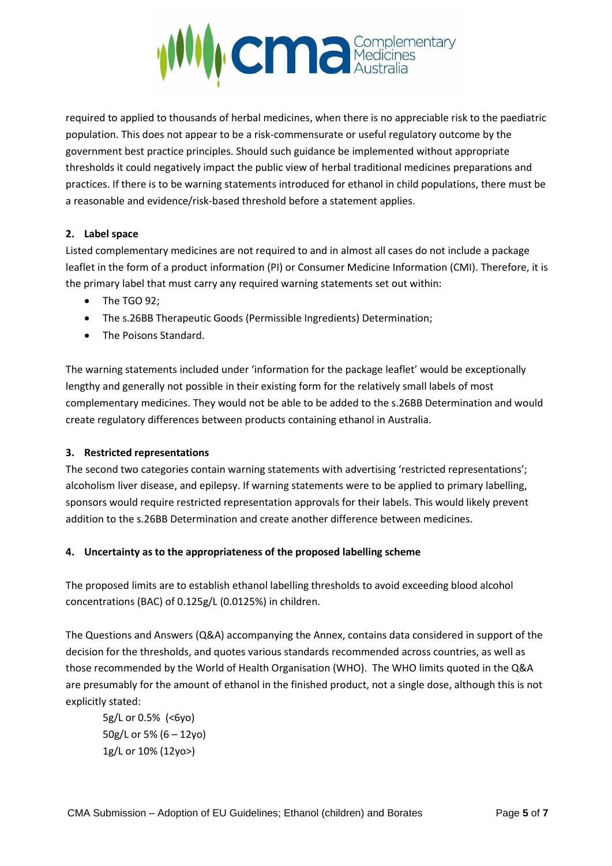

required to applied to thousands of herbal medicines, when there is no appreciable risk to the paediatric population. This does not appear to be a risk-commensurate or useful regulatory outcome by the government best practice principles. Should such guidance be implemented without appropriate thresholds it could negatively impact the public view of herbal traditional medicines preparations and practices. If there is to be warning statements introduced for ethanol in child populations, there must be a reasonable and evidence/risk-based threshold before a statement applies.

#### **2. Label space**

Listed complementary medicines are not required to and in almost all cases do not include a package leaflet in the form of a product information (PI) or Consumer Medicine Information (CMI). Therefore, it is the primary label that must carry any required warning statements set out within:

- The TGO 92:
- The s.26BB Therapeutic Goods (Permissible Ingredients) Determination;
- The Poisons Standard.

The warning statements included under 'information for the package leaflet' would be exceptionally lengthy and generally not possible in their existing form for the relatively small labels of most complementary medicines. They would not be able to be added to the s.26BB Determination and would create regulatory differences between products containing ethanol in Australia.

#### **3. Restricted representations**

The second two categories contain warning statements with advertising 'restricted representations'; alcoholism liver disease, and epilepsy. If warning statements were to be applied to primary labelling, sponsors would require restricted representation approvals for their labels. This would likely prevent addition to the s.26BB Determination and create another difference between medicines.

#### **4. Uncertainty as to the appropriateness of the proposed labelling scheme**

The proposed limits are to establish ethanol labelling thresholds to avoid exceeding blood alcohol concentrations (BAC) of 0.125g/L (0.0125%) in children.

The Questions and Answers (Q&A) accompanying the Annex, contains data considered in support of the decision for the thresholds, and quotes various standards recommended across countries, as well as those recommended by the World of Health Organisation (WHO). The WHO limits quoted in the Q&A are presumably for the amount of ethanol in the finished product, not a single dose, although this is not explicitly stated:

5g/L or 0.5% (<6yo) 50g/L or 5% (6 – 12yo) 1g/L or 10% (12yo>)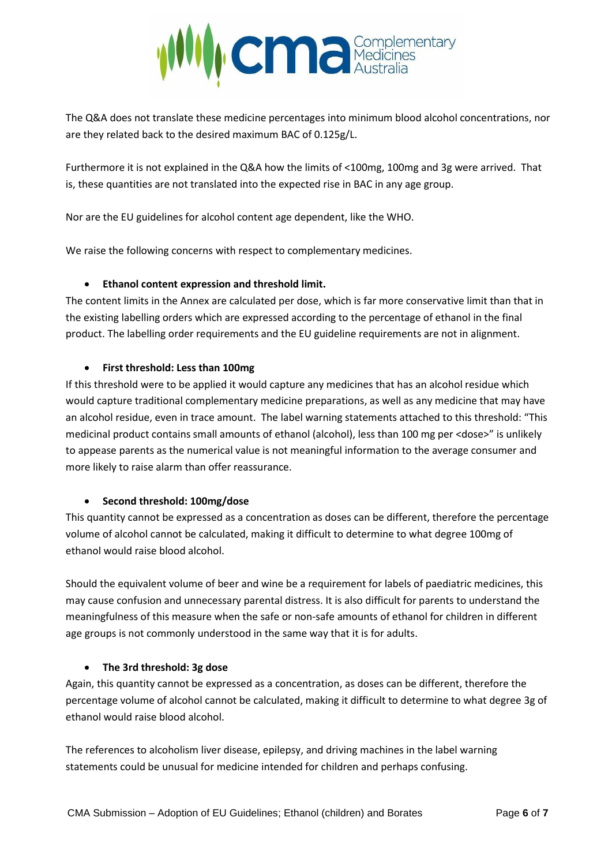

The Q&A does not translate these medicine percentages into minimum blood alcohol concentrations, nor are they related back to the desired maximum BAC of 0.125g/L.

Furthermore it is not explained in the Q&A how the limits of <100mg, 100mg and 3g were arrived. That is, these quantities are not translated into the expected rise in BAC in any age group.

Nor are the EU guidelines for alcohol content age dependent, like the WHO.

We raise the following concerns with respect to complementary medicines.

### • **Ethanol content expression and threshold limit.**

The content limits in the Annex are calculated per dose, which is far more conservative limit than that in the existing labelling orders which are expressed according to the percentage of ethanol in the final product. The labelling order requirements and the EU guideline requirements are not in alignment.

#### • **First threshold: Less than 100mg**

If this threshold were to be applied it would capture any medicines that has an alcohol residue which would capture traditional complementary medicine preparations, as well as any medicine that may have an alcohol residue, even in trace amount. The label warning statements attached to this threshold: "This medicinal product contains small amounts of ethanol (alcohol), less than 100 mg per <dose>" is unlikely to appease parents as the numerical value is not meaningful information to the average consumer and more likely to raise alarm than offer reassurance.

#### • **Second threshold: 100mg/dose**

This quantity cannot be expressed as a concentration as doses can be different, therefore the percentage volume of alcohol cannot be calculated, making it difficult to determine to what degree 100mg of ethanol would raise blood alcohol.

Should the equivalent volume of beer and wine be a requirement for labels of paediatric medicines, this may cause confusion and unnecessary parental distress. It is also difficult for parents to understand the meaningfulness of this measure when the safe or non-safe amounts of ethanol for children in different age groups is not commonly understood in the same way that it is for adults.

#### • **The 3rd threshold: 3g dose**

Again, this quantity cannot be expressed as a concentration, as doses can be different, therefore the percentage volume of alcohol cannot be calculated, making it difficult to determine to what degree 3g of ethanol would raise blood alcohol.

The references to alcoholism liver disease, epilepsy, and driving machines in the label warning statements could be unusual for medicine intended for children and perhaps confusing.